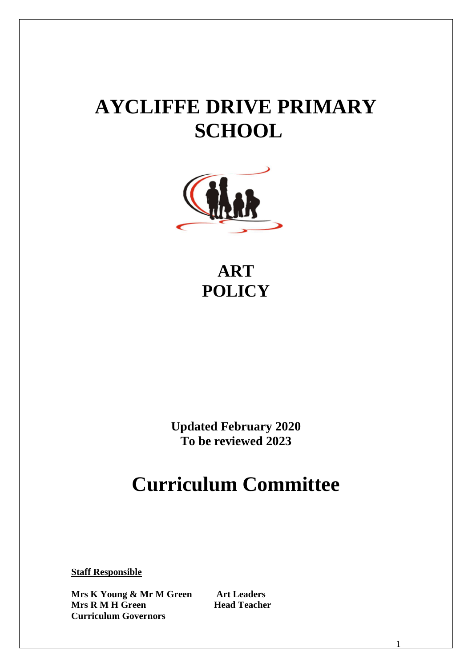# **AYCLIFFE DRIVE PRIMARY SCHOOL**



**ART POLICY**

**Updated February 2020 To be reviewed 2023**

## **Curriculum Committee**

**Staff Responsible**

**Mrs K Young & Mr M Green Art Leaders Mrs R M H Green Head Teacher Curriculum Governors**

1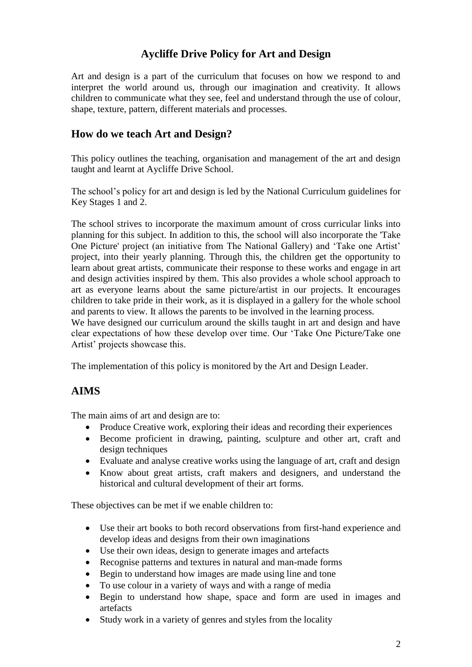### **Aycliffe Drive Policy for Art and Design**

Art and design is a part of the curriculum that focuses on how we respond to and interpret the world around us, through our imagination and creativity. It allows children to communicate what they see, feel and understand through the use of colour, shape, texture, pattern, different materials and processes.

#### **How do we teach Art and Design?**

This policy outlines the teaching, organisation and management of the art and design taught and learnt at Aycliffe Drive School.

The school's policy for art and design is led by the National Curriculum guidelines for Key Stages 1 and 2.

The school strives to incorporate the maximum amount of cross curricular links into planning for this subject. In addition to this, the school will also incorporate the 'Take One Picture' project (an initiative from The National Gallery) and 'Take one Artist' project, into their yearly planning. Through this, the children get the opportunity to learn about great artists, communicate their response to these works and engage in art and design activities inspired by them. This also provides a whole school approach to art as everyone learns about the same picture/artist in our projects. It encourages children to take pride in their work, as it is displayed in a gallery for the whole school and parents to view. It allows the parents to be involved in the learning process.

We have designed our curriculum around the skills taught in art and design and have clear expectations of how these develop over time. Our 'Take One Picture/Take one Artist' projects showcase this.

The implementation of this policy is monitored by the Art and Design Leader.

#### **AIMS**

The main aims of art and design are to:

- Produce Creative work, exploring their ideas and recording their experiences
- Become proficient in drawing, painting, sculpture and other art, craft and design techniques
- Evaluate and analyse creative works using the language of art, craft and design
- Know about great artists, craft makers and designers, and understand the historical and cultural development of their art forms.

These objectives can be met if we enable children to:

- Use their art books to both record observations from first-hand experience and develop ideas and designs from their own imaginations
- Use their own ideas, design to generate images and artefacts
- Recognise patterns and textures in natural and man-made forms
- Begin to understand how images are made using line and tone
- To use colour in a variety of ways and with a range of media
- Begin to understand how shape, space and form are used in images and artefacts
- Study work in a variety of genres and styles from the locality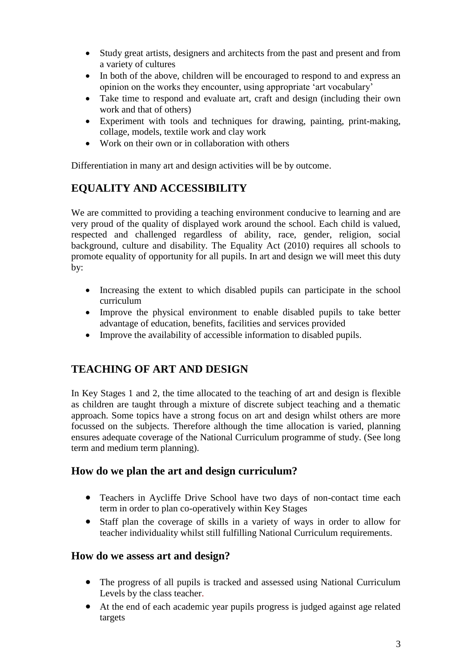- Study great artists, designers and architects from the past and present and from a variety of cultures
- In both of the above, children will be encouraged to respond to and express an opinion on the works they encounter, using appropriate 'art vocabulary'
- Take time to respond and evaluate art, craft and design (including their own work and that of others)
- Experiment with tools and techniques for drawing, painting, print-making, collage, models, textile work and clay work
- Work on their own or in collaboration with others

Differentiation in many art and design activities will be by outcome.

## **EQUALITY AND ACCESSIBILITY**

We are committed to providing a teaching environment conducive to learning and are very proud of the quality of displayed work around the school. Each child is valued, respected and challenged regardless of ability, race, gender, religion, social background, culture and disability. The Equality Act (2010) requires all schools to promote equality of opportunity for all pupils. In art and design we will meet this duty by:

- Increasing the extent to which disabled pupils can participate in the school curriculum
- Improve the physical environment to enable disabled pupils to take better advantage of education, benefits, facilities and services provided
- Improve the availability of accessible information to disabled pupils.

## **TEACHING OF ART AND DESIGN**

In Key Stages 1 and 2, the time allocated to the teaching of art and design is flexible as children are taught through a mixture of discrete subject teaching and a thematic approach. Some topics have a strong focus on art and design whilst others are more focussed on the subjects. Therefore although the time allocation is varied, planning ensures adequate coverage of the National Curriculum programme of study. (See long term and medium term planning).

#### **How do we plan the art and design curriculum?**

- Teachers in Aycliffe Drive School have two days of non-contact time each term in order to plan co-operatively within Key Stages
- Staff plan the coverage of skills in a variety of ways in order to allow for teacher individuality whilst still fulfilling National Curriculum requirements.

#### **How do we assess art and design?**

- The progress of all pupils is tracked and assessed using National Curriculum Levels by the class teacher.
- At the end of each academic year pupils progress is judged against age related targets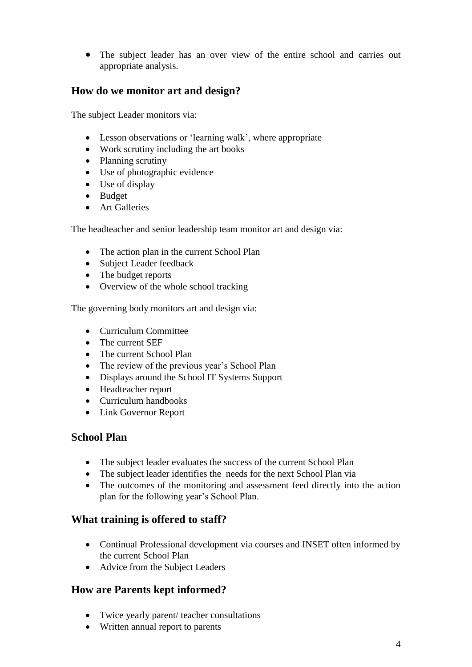The subject leader has an over view of the entire school and carries out appropriate analysis.

## **How do we monitor art and design?**

The subject Leader monitors via:

- Lesson observations or 'learning walk', where appropriate
- Work scrutiny including the art books
- Planning scrutiny
- Use of photographic evidence
- Use of display
- Budget
- **Art Galleries**

The headteacher and senior leadership team monitor art and design via:

- The action plan in the current School Plan
- Subject Leader feedback
- The budget reports
- Overview of the whole school tracking

The governing body monitors art and design via:

- Curriculum Committee
- The current SEF
- The current School Plan
- The review of the previous year's School Plan
- Displays around the School IT Systems Support
- Headteacher report
- Curriculum handbooks
- Link Governor Report

#### **School Plan**

- The subject leader evaluates the success of the current School Plan
- The subject leader identifies the needs for the next School Plan via
- The outcomes of the monitoring and assessment feed directly into the action plan for the following year's School Plan.

#### **What training is offered to staff?**

- Continual Professional development via courses and INSET often informed by the current School Plan
- Advice from the Subject Leaders

#### **How are Parents kept informed?**

- Twice yearly parent/ teacher consultations
- Written annual report to parents